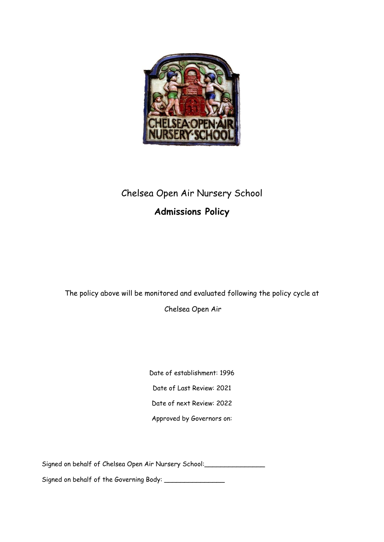

# Chelsea Open Air Nursery School **Admissions Policy**

The policy above will be monitored and evaluated following the policy cycle at

Chelsea Open Air

Date of establishment: 1996 Date of Last Review: 2021 Date of next Review: 2022 Approved by Governors on:

Signed on behalf of Chelsea Open Air Nursery School: \_\_\_\_\_\_\_\_\_\_\_\_\_\_\_\_\_\_\_\_\_\_\_\_\_\_\_

Signed on behalf of the Governing Body: \_\_\_\_\_\_\_\_\_\_\_\_\_\_\_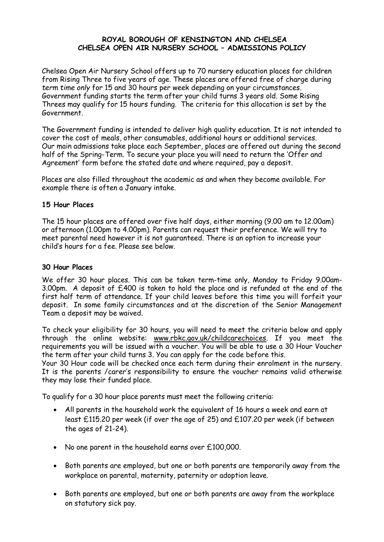## **ROYAL BOROUGH OF KENSINGTON AND CHELSEA CHELSEA OPEN AIR NURSERY SCHOOL – ADMISSIONS POLICY**

Chelsea Open Air Nursery School offers up to 70 nursery education places for children from Rising Three to five years of age. These places are offered free of charge during *term time only* for 15 and 30 hours per week depending on your circumstances. Government funding starts the term after your child turns 3 years old. Some Rising Threes may qualify for 15 hours funding. The criteria for this allocation is set by the Government.

The Government funding is intended to deliver high quality education. It is not intended to cover the cost of meals, other consumables, additional hours or additional services. Our main admissions take place each September, places are offered out during the second half of the Spring-Term. To secure your place you will need to return the 'Offer and Agreement' form before the stated date and where required, pay a deposit.

Places are also filled throughout the academic as and when they become available. For example there is often a January intake.

## **15 Hour Places**

The 15 hour places are offered over five half days, either morning (9.00 am to 12.00am) or afternoon (1.00pm to 4.00pm). Parents can request their preference. We will try to meet parental need however it is not guaranteed. There is an option to increase your child's hours for a fee. Please see below.

## **30 Hour Places**

We offer 30 hour places. This can be taken term-time only, Monday to Friday 9.00am-3.00pm. A deposit of £400 is taken to hold the place and is refunded at the end of the first half term of attendance. If your child leaves before this time you will forfeit your deposit. In some family circumstances and at the discretion of the Senior Management Team a deposit may be waived.

To check your eligibility for 30 hours, you will need to meet the criteria below and apply through the online website: [www.rbkc.gov.uk/childcarechoices.](http://www.rbkc.gov.uk/childcarechoices) If you meet the requirements you will be issued with a voucher. You will be able to use a 30 Hour Voucher the term after your child turns 3. You can apply for the code before this.

Your 30 Hour code will be checked once each term during their enrolment in the nursery. It is the parents /carer's responsibility to ensure the voucher remains valid otherwise they may lose their funded place.

To qualify for a 30 hour place parents must meet the following criteria:

- All parents in the household work the equivalent of 16 hours a week and earn at least £115.20 per week (if over the age of 25) and £107.20 per week (if between the ages of 21-24).
- No one parent in the household earns over £100,000.
- Both parents are employed, but one or both parents are temporarily away from the workplace on parental, maternity, paternity or adoption leave.
- Both parents are employed, but one or both parents are away from the workplace on statutory sick pay.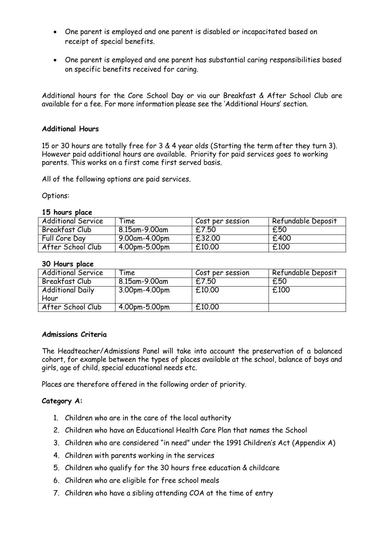- One parent is employed and one parent is disabled or incapacitated based on receipt of special benefits.
- One parent is employed and one parent has substantial caring responsibilities based on specific benefits received for caring.

Additional hours for the Core School Day or via our Breakfast & After School Club are available for a fee. For more information please see the 'Additional Hours' section.

## **Additional Hours**

15 or 30 hours are totally free for 3 & 4 year olds (Starting the term after they turn 3). However paid additional hours are available. Priority for paid services goes to working parents. This works on a first come first served basis.

All of the following options are paid services.

Options:

## **15 hours place**

| <b>Additional Service</b> | <b>Time</b>   | Cost per session | Refundable Deposit |
|---------------------------|---------------|------------------|--------------------|
| Breakfast Club            | 8.15am-9.00am | £7.50            | £50                |
| Full Core Day             | 9.00am-4.00pm | £32.00           | £400               |
| After School Club         | 4.00pm-5.00pm | £10.00           | £100               |

## **30 Hours place**

| <b>Additional Service</b> | <b>Time</b>     | Cost per session | Refundable Deposit |
|---------------------------|-----------------|------------------|--------------------|
| Breakfast Club            | 8.15am-9.00am   | £7.50            | £50                |
| <b>Additional Daily</b>   | 3.00pm-4.00pm   | £10.00           | £100               |
| Hour                      |                 |                  |                    |
| After School Club         | $4.00pm-5.00pm$ | £10.00           |                    |

## **Admissions Criteria**

The Headteacher/Admissions Panel will take into account the preservation of a balanced cohort, for example between the types of places available at the school, balance of boys and girls, age of child, special educational needs etc.

Places are therefore offered in the following order of priority.

## **Category A:**

- 1. Children who are in the care of the local authority
- 2. Children who have an Educational Health Care Plan that names the School
- 3. Children who are considered "in need" under the 1991 Children's Act (Appendix A)
- 4. Children with parents working in the services
- 5. Children who qualify for the 30 hours free education & childcare
- 6. Children who are eligible for free school meals
- 7. Children who have a sibling attending COA at the time of entry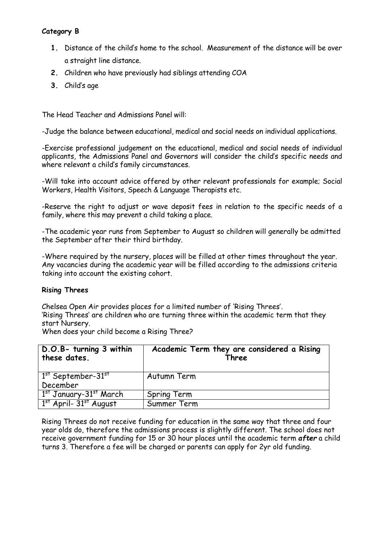## **Category B**

- **1.** Distance of the child's home to the school. Measurement of the distance will be over a straight line distance.
- **2.** Children who have previously had siblings attending COA
- **3.** Child's age

The Head Teacher and Admissions Panel will:

-Judge the balance between educational, medical and social needs on individual applications.

-Exercise professional judgement on the educational, medical and social needs of individual applicants, the Admissions Panel and Governors will consider the child's specific needs and where relevant a child's family circumstances.

-Will take into account advice offered by other relevant professionals for example; Social Workers, Health Visitors, Speech & Language Therapists etc.

-Reserve the right to adjust or wave deposit fees in relation to the specific needs of a family, where this may prevent a child taking a place.

-The academic year runs from September to August so children will generally be admitted the September after their third birthday.

-Where required by the nursery, places will be filled at other times throughout the year. Any vacancies during the academic year will be filled according to the admissions criteria taking into account the existing cohort.

## **Rising Threes**

Chelsea Open Air provides places for a limited number of 'Rising Threes'. 'Rising Threes' are children who are turning three within the academic term that they start Nursery.

When does your child become a Rising Three?

| D.O.B- turning 3 within                        | Academic Term they are considered a Rising |
|------------------------------------------------|--------------------------------------------|
| these dates.                                   | Three                                      |
| $1st$ September-31 $st$<br>December            | Autumn Term                                |
| 1 <sup>st</sup> January-31 <sup>st</sup> March | Spring Term                                |
| $1st$ April- $31st$ August                     | Summer Term                                |

Rising Threes do not receive funding for education in the same way that three and four year olds do, therefore the admissions process is slightly different. The school does not receive government funding for 15 or 30 hour places until the academic term *after* a child turns 3. Therefore a fee will be charged or parents can apply for 2yr old funding.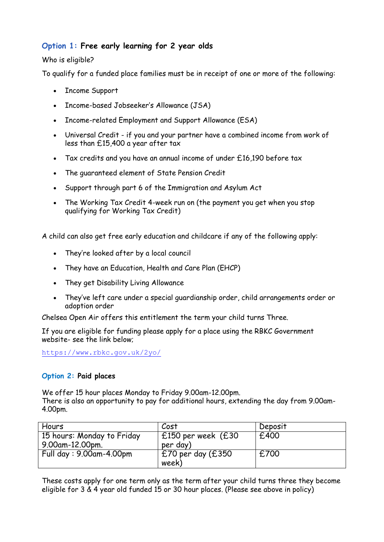## **Option 1: Free early learning for 2 year olds**

## Who is eligible?

To qualify for a funded place families must be in receipt of one or more of the following:

- Income Support
- Income-based Jobseeker's Allowance (JSA)
- Income-related Employment and Support Allowance (ESA)
- Universal Credit if you and your partner have a combined income from work of less than £15,400 a year after tax
- Tax credits and you have an annual income of under £16,190 before tax
- The guaranteed element of State Pension Credit
- Support through part 6 of the Immigration and Asylum Act
- The Working Tax Credit 4-week run on (the payment you get when you stop qualifying for Working Tax Credit)

A child can also get free early education and childcare if any of the following apply:

- They're looked after by a local council
- They have an Education, Health and Care Plan (EHCP)
- They get Disability Living Allowance
- They've left care under a special guardianship order, child arrangements order or adoption order

Chelsea Open Air offers this entitlement the term your child turns Three.

If you are eligible for funding please apply for a place using the RBKC Government website- see the link below;

<https://www.rbkc.gov.uk/2yo/>

## **Option 2: Paid places**

We offer 15 hour places Monday to Friday 9.00am-12.00pm. There is also an opportunity to pay for additional hours, extending the day from 9.00am-4.00pm.

| Hours                                         | Cost                             | Deposit |
|-----------------------------------------------|----------------------------------|---------|
| 15 hours: Monday to Friday<br>9.00am-12.00pm. | $£150$ per week (£30<br>per day) | £400    |
| Full day: 9.00am-4.00pm                       | $£70$ per day (£350<br>week)     | £700    |

These costs apply for one term only as the term after your child turns three they become eligible for 3 & 4 year old funded 15 or 30 hour places. (Please see above in policy)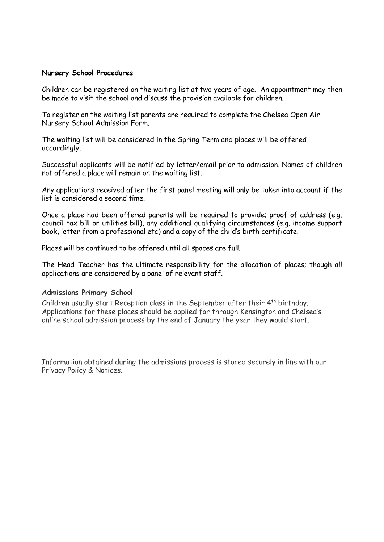#### **Nursery School Procedures**

Children can be registered on the waiting list at two years of age. An appointment may then be made to visit the school and discuss the provision available for children.

To register on the waiting list parents are required to complete the Chelsea Open Air Nursery School Admission Form.

The waiting list will be considered in the Spring Term and places will be offered accordingly.

Successful applicants will be notified by letter/email prior to admission. Names of children not offered a place will remain on the waiting list.

Any applications received after the first panel meeting will only be taken into account if the list is considered a second time.

Once a place had been offered parents will be required to provide; proof of address (e.g. council tax bill or utilities bill), any additional qualifying circumstances (e.g. income support book, letter from a professional etc) and a copy of the child's birth certificate.

Places will be continued to be offered until all spaces are full.

The Head Teacher has the ultimate responsibility for the allocation of places; though all applications are considered by a panel of relevant staff.

#### **Admissions Primary School**

Children usually start Reception class in the September after their  $4<sup>th</sup>$  birthday. Applications for these places should be applied for through Kensington and Chelsea's online school admission process by the end of January the year they would start.

Information obtained during the admissions process is stored securely in line with our Privacy Policy & Notices.